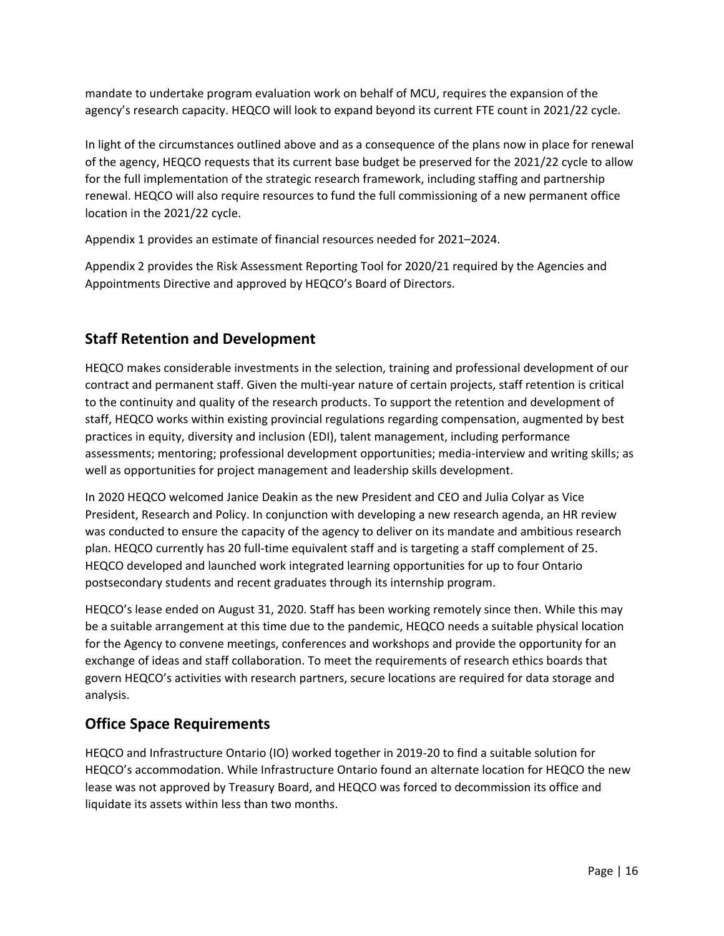

# Higher Education Quality Council of Ontario 2021–2024 Business Plan

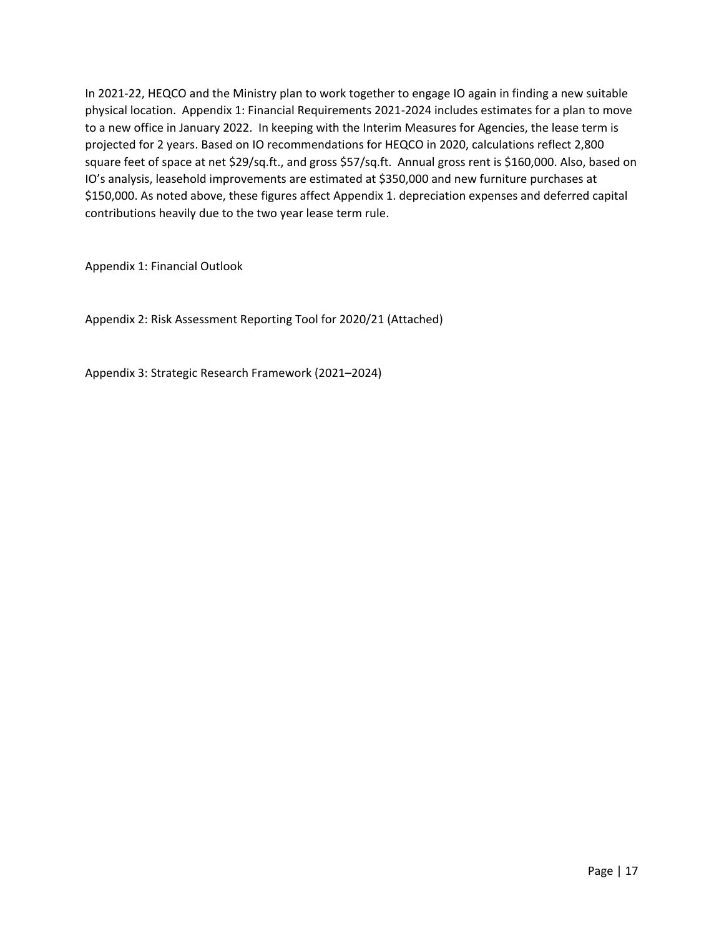## **Mandate**

"To assist the Ministry of Colleges and Universities in improving all aspects of the postsecondary education sector, including improving the quality of education provided in the sector, access to postsecondary education and accountability of postsecondary educational institutions" (HEQCO Act, 2005).

## **Mission**

HEQCO informs the future of Ontario higher education through authoritative research, effective communication of meaningful data and evidence-based options for solutions to the challenges facing Ontario's postsecondary system.

## **Vision**

HEQCO seeks to influence the key decisions, practices and policies that will guide Ontario's public postsecondary system to national and international leadership and provide Ontarians with the greatest opportunities for social mobility and economic success.

## **Values**

**Primacy of independent, high-quality research:** HEQCO maintains a distinctive position in the research community as a credible, authoritative and influential agency through a foundation of independent, objective, high-quality analysis to provide the best evidence-based advice to government and postsecondary institutions. Attentive to emerging trends, HEQCO has the agility to pursue promising new avenues of research as opportunities arise.

**Sustained engagement with leaders and practitioners worldwide:** HEQCO's global perspective on higher education research, policy and practice brings the best ideas, research findings and insights to Ontario. Many of Ontario's postsecondary education (PSE) challenges are shared by jurisdictions across Canada and worldwide. HEQCO's work is strengthened through relationships with postsecondary institutions, non-profit agencies and community organizations. Through these connections, we ensure that the very best thinking from around the world is made available to Ontario decision-makers as a catalyst for informed decisions, collaboration and innovation.

**Accessible and meaningful communication:** In bridging the gap between research knowledge and its active use in addressing pressing challenges in higher education, HEQCO contributes to the effective movement of evidence-based solutions into policy development and best practice.

**An advocate for data collection and transparency:** Data is the lifeblood of evidence-based policy decision-making, yet our work is constrained by significant and persistent data gaps at both the provincial and national level. HEQCO remains an advocate for a more transparent, open and holistic approach to higher education data, in partnership with educational institutions, organizations and governments.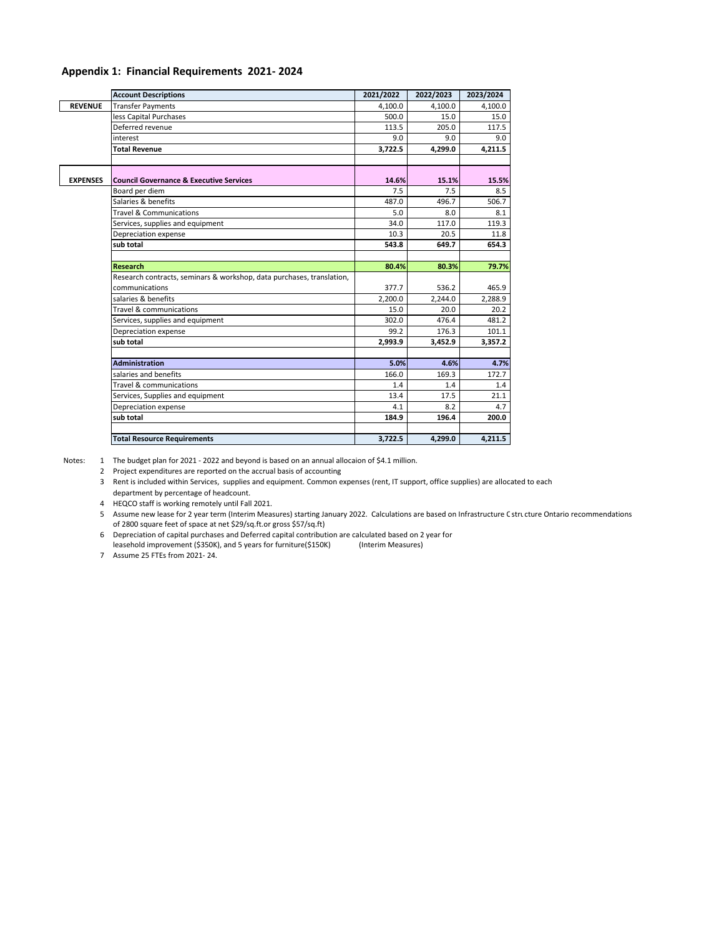**Accountability is a foundational tool for system improvement:** Core to our accountability mandate, HEQCO explores system design models across the globe to improve postsecondary access and quality in Ontario.

**Responsive to government priorities and mandates:** HEQCO ensures that evidence-based research and evaluation of the highest quality informs policy decision-making and practice, in alignment with the Ministry of Colleges and Universities.

**Equipped to achieve our goals:** HEQCO is committed to ensuring that our organizational structure and staff capabilities maximize impact and drive toward the achievement of our vision for Ontario postsecondary education.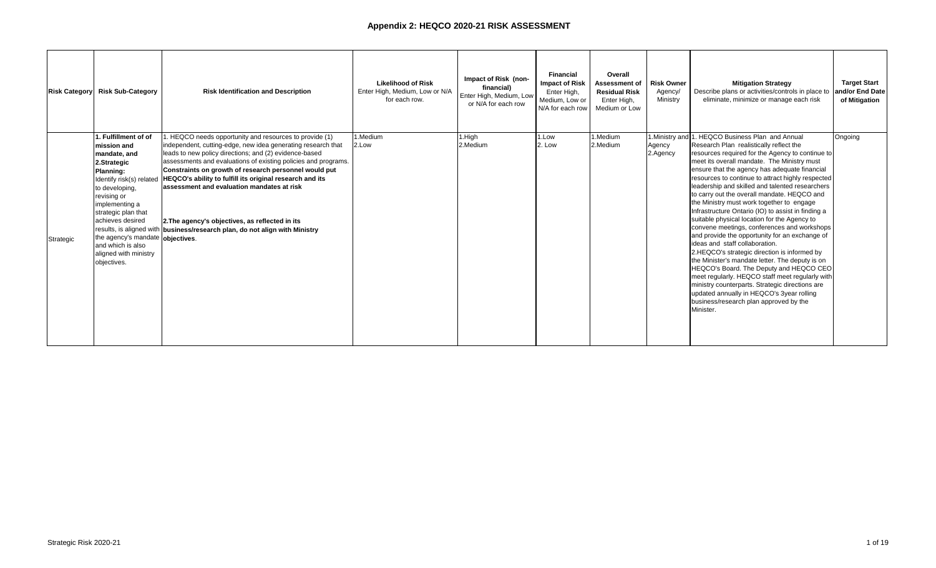## **Strategic Vision**

A high-quality postsecondary education system is central to a successful Ontario. It provides Ontarians with exceptional opportunities for social mobility and economic success; acts as a magnet to recruit the best talent to Ontario; creates and supports a robust economy and jobs grounded in an increasingly competitive, knowledge-based, global economy; improves opportunities for regional, economic and social development; and fosters an engaged, socially-aware and civic-minded Ontario population. Through the talented students they educate, the discoveries and innovations they foster and the communities they support, Ontario's postsecondary education pathways are instrumental to the future success and prosperity of Ontario.

While there are notable strengths in Ontario's postsecondary education system, there are also important challenges in the current landscape. The COVID-19 pandemic is the most significant recent concern, but there are additional ongoing challenges associated with system differentiation, financial sustainability, defining and demonstrating quality and ensuring success for all students, regardless of their background. As the impacts of COVID-19 continue to change the way Ontarians live, work and study, higher education will be more important than ever. The colleges, universities and postsecondary education options of the province drive innovation and research, train and develop talented, globally competitive graduates and help the economy adapt and change to the new realities of the pandemic.

As the only organization of its kind in Canada, HEQCO's evidence-based research is focused on providing government, institutions, employers, students and parents with the critical information needed to meet the pressing challenges facing higher education, now and in the future. Through sustained engagement with leaders and practitioners in the sector, HEQCO continues to explore pathways to critically important student and system outcomes and provides the evidence needed to help Ontario's postsecondary system adapt and thrive.

Informed by ongoing discussions with the Ministry of Colleges and Universities and leaders throughout the province's higher education sector, HEQCO's research agenda focuses on the priorities of access, quality and sustainability that have been at the core of HEQCO's research for more than a decade. But higher education does not take place in a vacuum and for the system to be successful it must engage with the challenging issues facing society. HEQCO's new research agenda reflects the broader factors that are currently shaping postsecondary education in Ontario and internationally: COVID-19, antiracism and other movements spearheaded by the BIPOC communities (Black, Indigenous and People of Colour), the shifting labour market, and an ongoing call for the sector to demonstrate its value.

In 2018, changes were made to the Higher Education Quality Council of Ontario Act instructing HEQCO to research how free speech is addressed by postsecondary institutions. HEQCO was directed to develop annual reports and recommendations to the Minister on the results of the research and evaluation. Additionally, in 2019 the government expanded HEQCO's role to include evaluation projects specified by the Minister. This expanded mandate enables evidence‐based, independent assessments to help the government in making better, more informed decisions.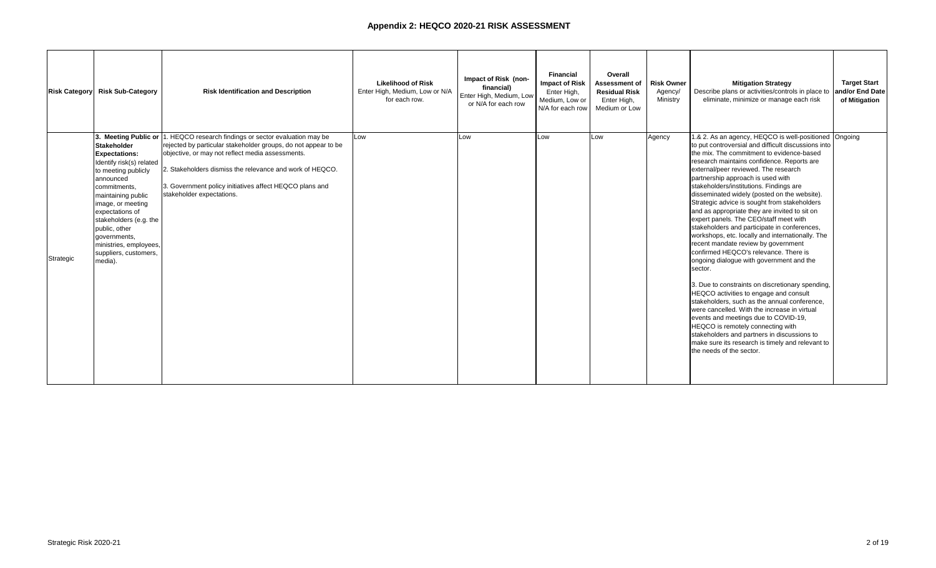# **Environmental Scan**

| <b>External Factors</b>                                                                                                                                                                                                                                                                                                                                                                                                | <b>Implications for HEQCO</b>                                                                                                                                                                                                                                                                                                                                                                                                                                                                                                                                                                                                                               |
|------------------------------------------------------------------------------------------------------------------------------------------------------------------------------------------------------------------------------------------------------------------------------------------------------------------------------------------------------------------------------------------------------------------------|-------------------------------------------------------------------------------------------------------------------------------------------------------------------------------------------------------------------------------------------------------------------------------------------------------------------------------------------------------------------------------------------------------------------------------------------------------------------------------------------------------------------------------------------------------------------------------------------------------------------------------------------------------------|
| <b>COVID-19 Pandemic</b>                                                                                                                                                                                                                                                                                                                                                                                               |                                                                                                                                                                                                                                                                                                                                                                                                                                                                                                                                                                                                                                                             |
| The COVID-19 pandemic has affected people all<br>over the world and Ontario is no exception. The<br>reach of this global pandemic is unprecedented<br>and while its effects can be felt most on the<br>economy and sectors like healthcare, education is<br>also profoundly affected.                                                                                                                                  | In light of the current environment, HEQCO has<br>adjusted its research plan to examine some of the<br>impacts of the COVID-19 pandemic on the<br>postsecondary sector as it unfolds.<br>Like many other workplaces, HEQCO pivoted to a<br>remote workplace due to the pandemic. Some<br>previously available data sources became inaccessible<br>due to this shift. Despite these complications, HEQCO's<br>research continues and new data sources and<br>partnerships are being explored for future projects.                                                                                                                                            |
| <b>Government Priorities for Agency Sector</b>                                                                                                                                                                                                                                                                                                                                                                         |                                                                                                                                                                                                                                                                                                                                                                                                                                                                                                                                                                                                                                                             |
| As part of the government of Ontario, agencies<br>are expected to act in the best interests of<br>Ontarians by being efficient, effective, and<br>providing value for money to taxpayers. This<br>includes competitiveness, sustainability and<br>expenditure management; transparency and<br>accountability; risk management; workforce<br>management; data collection; and digital delivery<br>and customer service. | HEQCO has established a series of indictors to ensure<br>sustainable, efficient, transparent and accountable<br>operation. The shift to remote operation has increased<br>efforts to deliver services digitally, where possible, and<br>to explore new possibilities for stakeholder<br>engagement, partnerships and data opportunities. The<br>new HEQCO website launched in late 2020 will allow for<br>increased functionality and an improved stakeholder<br>experience.                                                                                                                                                                                |
| <b>Increased Attention to Racial and Social Justice Issues</b>                                                                                                                                                                                                                                                                                                                                                         |                                                                                                                                                                                                                                                                                                                                                                                                                                                                                                                                                                                                                                                             |
| Issues of racial equity, social justice and systemic<br>prejudices and barriers received increased<br>attention in the past year with movements such<br>as Black Lives Matter. There is a growing<br>awareness of the differential equity challenges<br>facing BIPOC students and others<br>underrepresented in postsecondary education.                                                                               | Equity of access has been a pillar of HEQCO's research<br>agenda since the agency was founded. The new 2021-<br>2024 Strategic Research Framework extends this work<br>with a focus on equitable access and outcomes for<br>Ontarians. The research framework includes a number<br>of access and equity topics, including the differential<br>impact of COVID-19 on access and retention for<br>students from traditionally underrepresented groups.<br>Moving forward, access to data which utilizes the<br>Ontario Education Number (OEN) is essential as HEQCO<br>works to address these and other critical issues in<br>postsecondary education sector. |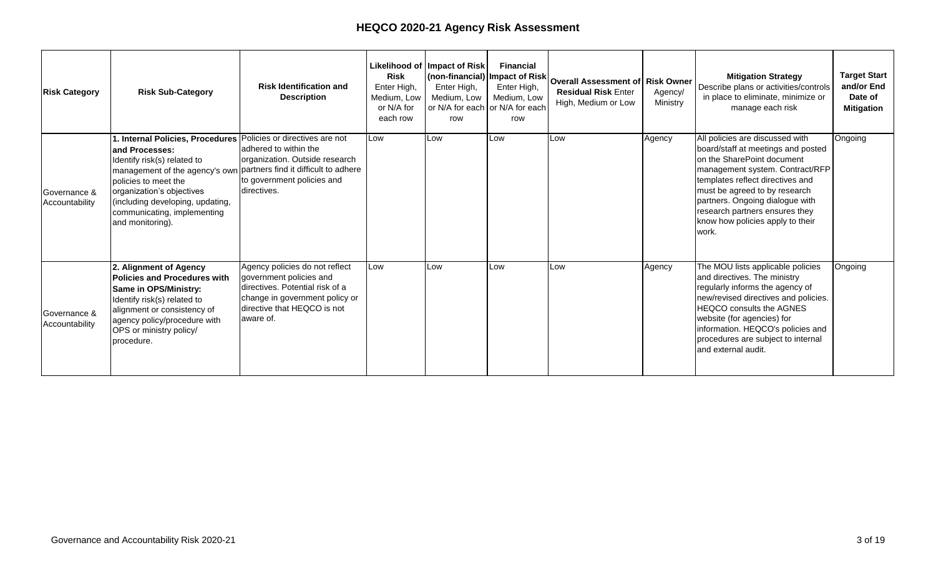| <b>External Factors</b>                                                                                                                                                                                                                                                                                                                                                                                                                                                                                                                                                                                                                                                                                                                                                                                                                                                                                                                                                                                    | <b>Implications for HEQCO</b>                                                                                                                                                                                                                                                                                                                                                                                                                                                                                                                                                                                                                                                                                                                                                                                                                                                                                                                                                                                                                                                                                                                                                                                                                                                                                                                                                                                                                                                                                                                                                                                                                                                                                                                                   |  |  |  |  |
|------------------------------------------------------------------------------------------------------------------------------------------------------------------------------------------------------------------------------------------------------------------------------------------------------------------------------------------------------------------------------------------------------------------------------------------------------------------------------------------------------------------------------------------------------------------------------------------------------------------------------------------------------------------------------------------------------------------------------------------------------------------------------------------------------------------------------------------------------------------------------------------------------------------------------------------------------------------------------------------------------------|-----------------------------------------------------------------------------------------------------------------------------------------------------------------------------------------------------------------------------------------------------------------------------------------------------------------------------------------------------------------------------------------------------------------------------------------------------------------------------------------------------------------------------------------------------------------------------------------------------------------------------------------------------------------------------------------------------------------------------------------------------------------------------------------------------------------------------------------------------------------------------------------------------------------------------------------------------------------------------------------------------------------------------------------------------------------------------------------------------------------------------------------------------------------------------------------------------------------------------------------------------------------------------------------------------------------------------------------------------------------------------------------------------------------------------------------------------------------------------------------------------------------------------------------------------------------------------------------------------------------------------------------------------------------------------------------------------------------------------------------------------------------|--|--|--|--|
| <b>Government Priorities for Higher Education</b>                                                                                                                                                                                                                                                                                                                                                                                                                                                                                                                                                                                                                                                                                                                                                                                                                                                                                                                                                          |                                                                                                                                                                                                                                                                                                                                                                                                                                                                                                                                                                                                                                                                                                                                                                                                                                                                                                                                                                                                                                                                                                                                                                                                                                                                                                                                                                                                                                                                                                                                                                                                                                                                                                                                                                 |  |  |  |  |
| Communities across Ontario have been deeply<br>impacted by the global pandemic. As we look to<br>the future, Ontario's postsecondary education<br>sector is poised to play a key role in the<br>province's recovery. The pandemic has<br>highlighted opportunities to modernize and<br>strengthen Ontario's postsecondary system and<br>support a high quality and sustainable PSE sector.<br>The Ontario government has outlined a number<br>of priorities for higher education:<br>Improving the student experience by<br>increasing funding for mental health<br>initiatives on campus. According to Ontario's<br>Action Plan: Protect . Support . Recover,<br>"this funding will help students by<br>strengthening community partnerships."<br>"Providing high-quality postsecondary<br>education that is accountable, accessible and<br>affordable is important in order to meet the<br>current and future needs of Ontario's labour<br>market."<br>Free speech on college and university<br>campuses | HEQCO's research priorities are aligned with the<br>province's higher education goals:<br>HEQCO continues to pursue research on improving<br>-<br>the student experience including work related to<br>retention of postsecondary students and the<br>supports needed to improve student success.<br>HEQCO continues to conduct research as part of its<br>$\overline{\phantom{a}}$<br>evaluation function. Projects are underway that<br>will help HEQCO provide recommendations on The<br>Pathways to Education Program and the Ontario<br>Postsecondary Access and Inclusion Program and<br>ensure that funding is being directed where it is<br>needed most.<br>HEQCO also expects to evaluate ministry special<br>purpose grants in order to examine their impact on<br>institutions serving students with disabilities.<br>$\overline{a}$<br>In line with the government's intention to "create a<br>fund to incent the development of new micro-<br>credentials that respond to regional labour market<br>needs" HEQCO is compiling evidence to inform<br>strategic approaches to microcredential<br>development and delivery, which includes engaging<br>employers and prospective students in order to<br>understand how they perceive microcredentials<br>and the potential role microcredentials could play<br>in post-pandemic recovery efforts.<br>HEQCO continues to evaluate how free speech is<br>$\qquad \qquad -$<br>addressed by postsecondary institutions and<br>provide reports and recommendations to the<br>minister based on the results of its evaluation. The<br>second Freedom of Speech on Campus Annual<br>Report was submitted to the Minister of Colleges<br>and Universities in October 2020 and published in<br>December 2020. |  |  |  |  |
|                                                                                                                                                                                                                                                                                                                                                                                                                                                                                                                                                                                                                                                                                                                                                                                                                                                                                                                                                                                                            |                                                                                                                                                                                                                                                                                                                                                                                                                                                                                                                                                                                                                                                                                                                                                                                                                                                                                                                                                                                                                                                                                                                                                                                                                                                                                                                                                                                                                                                                                                                                                                                                                                                                                                                                                                 |  |  |  |  |
|                                                                                                                                                                                                                                                                                                                                                                                                                                                                                                                                                                                                                                                                                                                                                                                                                                                                                                                                                                                                            |                                                                                                                                                                                                                                                                                                                                                                                                                                                                                                                                                                                                                                                                                                                                                                                                                                                                                                                                                                                                                                                                                                                                                                                                                                                                                                                                                                                                                                                                                                                                                                                                                                                                                                                                                                 |  |  |  |  |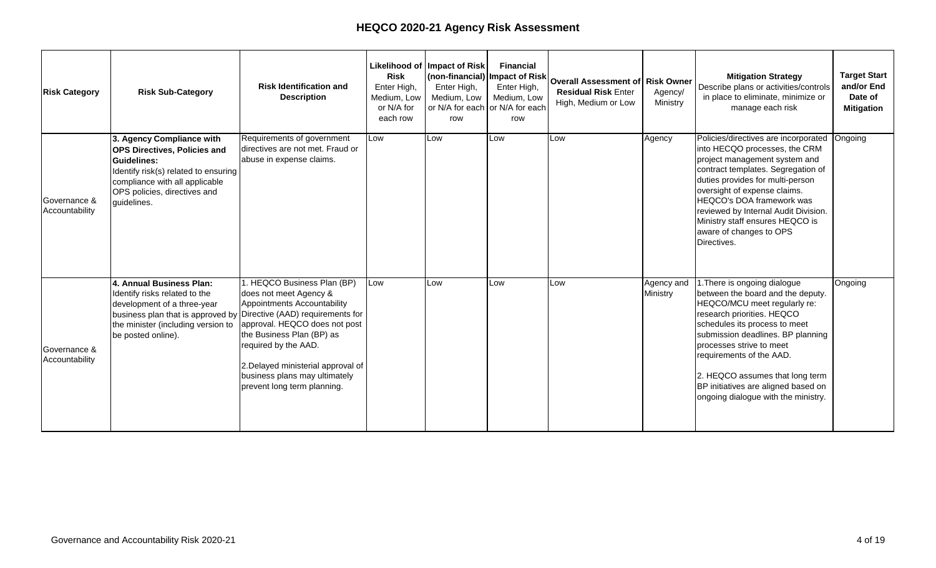| <b>External Factors</b>                                                                                                                                                                                                                                                                                                                               | <b>Implications for HEQCO</b>                                                                                                                                                                                                                                                                                                                                                                                                                                                                                                                                                     |
|-------------------------------------------------------------------------------------------------------------------------------------------------------------------------------------------------------------------------------------------------------------------------------------------------------------------------------------------------------|-----------------------------------------------------------------------------------------------------------------------------------------------------------------------------------------------------------------------------------------------------------------------------------------------------------------------------------------------------------------------------------------------------------------------------------------------------------------------------------------------------------------------------------------------------------------------------------|
| <b>Stakeholders</b>                                                                                                                                                                                                                                                                                                                                   |                                                                                                                                                                                                                                                                                                                                                                                                                                                                                                                                                                                   |
| Colleges and universities across the province are<br>sharing their experiences of the hardships the<br>COVID-19 pandemic is creating for students,<br>faculty and administration, and support staff.<br>Media coverage is focused on the ongoing<br>pandemic, including its impact on the economy,<br>labour market and the broader education sector. | Through consultations with leadership across the<br>Ontario postsecondary sector, HEQCO's new research<br>plan is focused on the priorities that matter to<br>institutions, students and government. HEQCO's<br>research priorities contribute to the broader<br>conversation surrounding economic recovery from the<br>COVID-19 pandemic. Examinations of topics such as<br>accessibility of digital learning, microcredentials and<br>apprenticeship pathways can help provide guidance on<br>how best the postsecondary sector can contribute to<br>pandemic recovery efforts. |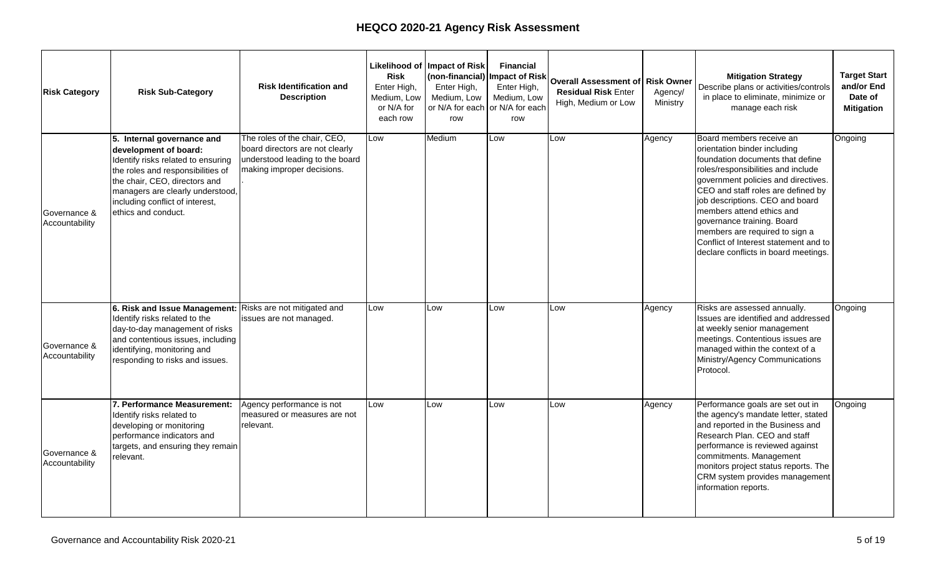# **Strategic Research Framework (2021 to 2024)**

HEQCO has developed a comprehensive research framework (see Appendix 3) to drive the agency forward and provide valuable evidence-based guidance and insights at a time of challenge and change in postsecondary education. The framework explores critical issues in each of the core areas of HEQCO's mandate and was developed following consultation with sector colleagues and partners from colleges and universities, student associations, government, educational agencies in Ontario, and not-for-profit groups.

Several principles guided the research framework's development:

- Research activities should reflect, inform and improve the postsecondary priorities and policies of Ontario's government.
- Research activities should be responsive to Ontario's particular context but should also reflect larger national and international trends in postsecondary education and research.
- Research projects should leverage data available in Canada and Ontario, and should, where appropriate, introduce new data collection efforts.
- Research partnerships should support projects that are otherwise out of reach because of access to data, needed expertise or capacity challenges. Partnerships should offer true opportunities for collaboration in project execution and/or deliverables.
- Research publications should largely be generated internally. In some cases, more formal partnerships with external researchers, agencies or institutions will be needed to enhance or enable HEQCO's work.
- Research activities should aim to provide meaningful impact for government and/or sector stakeholders. Projects should bring information and analysis that would otherwise be unavailable to HEQCO's audiences.
- Flexibility should be built into the framework to accommodate unexpected issues such as data access challenges or additional real-time perturbations in the postsecondary sector.
- The new research framework should provide opportunities for HEQCO to build organizational expertise and capacity.

Access, quality and sustainability are represented in the framework as individual areas of focus, but as HEQCO research has shown over time, these priorities overlap in significant ways. For example, research focused on quality may also examine questions of access. It would be impossible to examine the quality of the remote learning experience without also considering the equity issues involved for students in remote areas or students who rely on campus support services to succeed.

#### **Access**

HEQCO's research in the access priority area will largely focus on equity of access, opportunity, supports and outcomes. Over the next three years the research projects will extend our understanding of key questions: *Who* has access to postsecondary education in Ontario, and *what* do they have access to?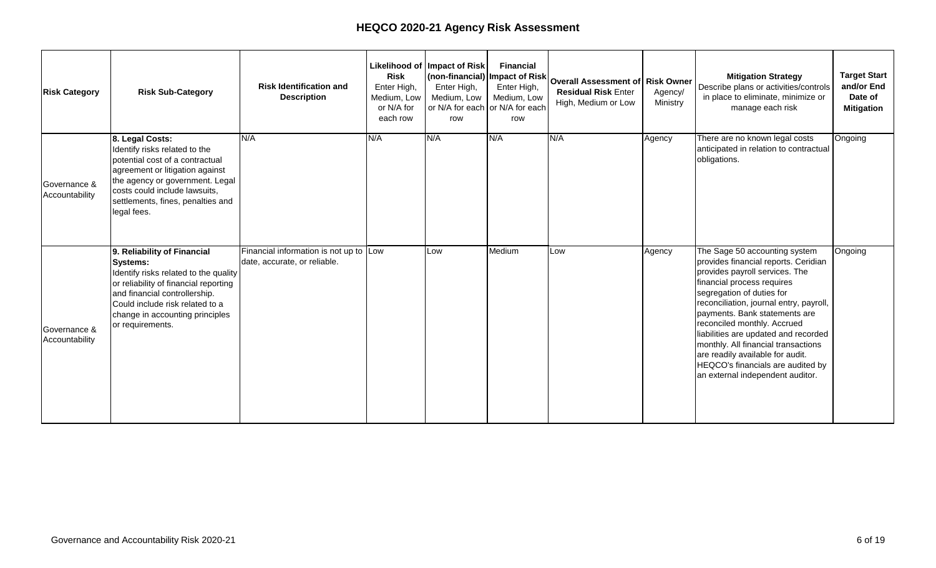Research will evaluate the impact of the COVID-19 pandemic on enrolment shifts and participation rates, as well as longer term impacts like labour market outcomes and earnings premiums.

HEQCO's work in the equity space will require building a robust data infrastructure, including data associated with the Ontario Education Number (OEN) that can be used to build a province-level understanding of equity across postsecondary institutions. HEQCO is leading a project in Hamilton bringing school boards, community groups and postsecondary education institutions together to share data on pathways and outcomes to better understand the equity issues impacting student success. Building these types of data tools is essential for understanding the complex factors driving inequities in higher education and identifying where more support is needed.

#### **Quality**

An immediate focus in the quality priority area is transformations in digital teaching and learning. All colleges and universities have accelerated the development of online capacity and expertise as inperson courses have become temporarily untenable; it will be important to understand the efficacy of emerging pedagogic, curricular and program changes. This research plan also includes a focus on transferable skill development—critical thinking, problem solving, communication and teamwork, for example—in the digital environment.

Two projects are planned that will update and expand benchmarking research undertaken by HEQCO. The first is an update of *Canadian Postsecondary Performance*: *Impact 2015*, a performance and cost analysis for Canadian postsecondary education. In the refreshed approach, an additional layer of analysis will consider Ontario institutions by region. The second benchmarking project is an update of HEQCO's *Still Worth it After All These Years*, which looks are earnings premiums for Ontario graduates across credential types.

#### **Sustainability**

Financial stability for institutions across the province is an important area of focus. As the pandemic unfolded, institutions expressed particular concerns about the decline in international enrolment; the costs of digital course development and delivery; and IT infrastructure needs. But questions of sustainability have long occupied institutional leaders and policymakers. HEQCO's plans in this priority area reflect immediate and historical issues, and the ways these are converging in the current environment. As the pandemic continues, research needs to be pursued on the longer-term effects on institutional stability. HEQCO's work will also consider costs and return on investment associated with postsecondary education.

Current instability concerns highlight the need to focus on the policy frameworks that provide infrastructure in Ontario's postsecondary sector. These policies — differentiation, growth and tuition, for example — have evolved over time and have shaped institutions' operational approaches. HEQCO's work will inform policy related to system sustainability, including levels of funding and differentiated missions to offer a range of credentials.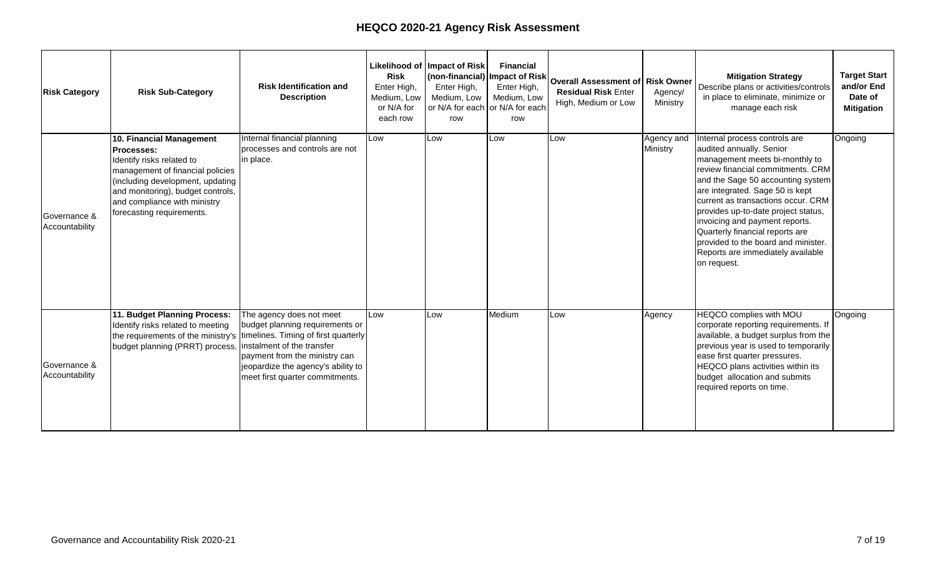#### **HEQCO 2021–24 Research Framework Overview**

HEQCO's research plans are summarized in the framework below. Arrows included in the table signal topic development for projects that will build and evolve over multiple years. The topics s listed below summarize project objectives, not specific publications. Issues of data availability, logistics, partnerships and ongoing efforts to define research questions may impact the publication type and timeline.

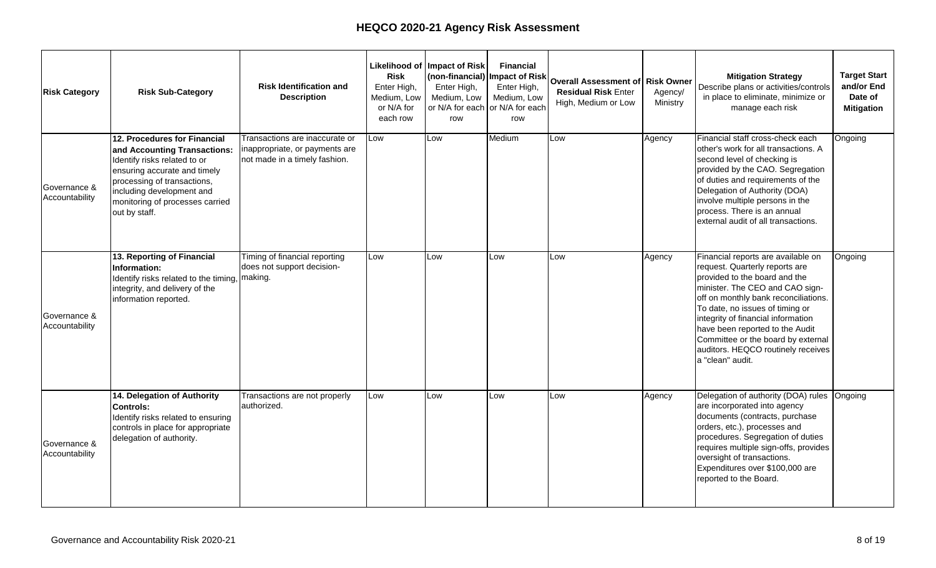| Quality                                                                                                                                                                                                                                                                                       |                                                                   |                                                                              |  |  |  |
|-----------------------------------------------------------------------------------------------------------------------------------------------------------------------------------------------------------------------------------------------------------------------------------------------|-------------------------------------------------------------------|------------------------------------------------------------------------------|--|--|--|
| Goals:<br>Expand the impact of HEQCO's work on learning outcomes.<br>$\bullet$<br>Further develop HEQCO's understanding and evaluation of teaching and learning<br>$\bullet$<br>environments.<br>Build a data infrastructure on the value of postsecondary education in Ontario, with a focus |                                                                   |                                                                              |  |  |  |
| on skills and competencies.                                                                                                                                                                                                                                                                   |                                                                   |                                                                              |  |  |  |
| Year 1 focus                                                                                                                                                                                                                                                                                  | Year 2 focus                                                      | Year 3 focus                                                                 |  |  |  |
|                                                                                                                                                                                                                                                                                               |                                                                   |                                                                              |  |  |  |
| Transformations in digital learning                                                                                                                                                                                                                                                           |                                                                   |                                                                              |  |  |  |
|                                                                                                                                                                                                                                                                                               | Using learning outcomes to<br>inform curriculum program<br>design | Shifts in curriculum and<br>pedagogy impacted by<br>COVID-19                 |  |  |  |
|                                                                                                                                                                                                                                                                                               |                                                                   |                                                                              |  |  |  |
| Skills gap: trends, evidence and impacts                                                                                                                                                                                                                                                      |                                                                   |                                                                              |  |  |  |
|                                                                                                                                                                                                                                                                                               |                                                                   |                                                                              |  |  |  |
|                                                                                                                                                                                                                                                                                               | Students' skill articulation                                      | Transferable skill<br>development in the<br>digital environment              |  |  |  |
| Work integrated and<br>experiential learning<br>participation and outcomes                                                                                                                                                                                                                    | Assessing students' learning<br>and skills outcomes               | COVID-19 impact on skill<br>development                                      |  |  |  |
| Performance and<br>cost analysis for<br><b>Canadian PSE</b>                                                                                                                                                                                                                                   |                                                                   |                                                                              |  |  |  |
|                                                                                                                                                                                                                                                                                               |                                                                   |                                                                              |  |  |  |
| Earning premiums for PSE graduates                                                                                                                                                                                                                                                            |                                                                   |                                                                              |  |  |  |
|                                                                                                                                                                                                                                                                                               |                                                                   |                                                                              |  |  |  |
| Value of Ontario credentials<br>for graduates across<br>programs and background                                                                                                                                                                                                               |                                                                   | Earnings premiums for post-<br>COVID-19 PSE graduates                        |  |  |  |
| characteristics                                                                                                                                                                                                                                                                               |                                                                   | Effects of employment<br>disruptions on longer term<br>PSE graduate outcomes |  |  |  |
|                                                                                                                                                                                                                                                                                               |                                                                   |                                                                              |  |  |  |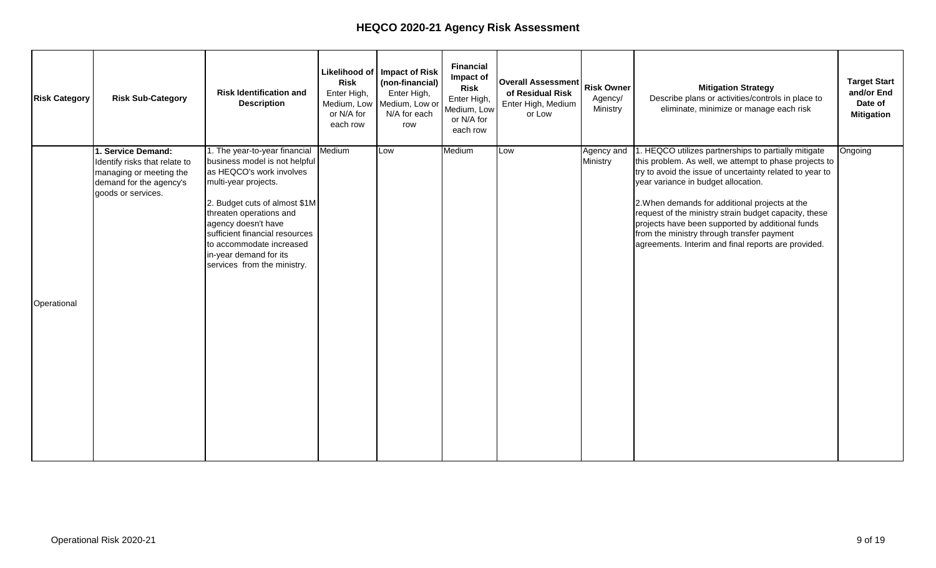| <b>Sustainability and System Design</b><br>Goals:<br>Explore and critically review the PSE policy context in Ontario to chart a path to the future.<br>$\bullet$<br>Promote differentiation as a means to support academic quality and return on investment.<br>Review Ontario PSE institutions' financial sustainability and cost structure. |                                                         |                                                                      |                                                                                       |  |
|-----------------------------------------------------------------------------------------------------------------------------------------------------------------------------------------------------------------------------------------------------------------------------------------------------------------------------------------------|---------------------------------------------------------|----------------------------------------------------------------------|---------------------------------------------------------------------------------------|--|
|                                                                                                                                                                                                                                                                                                                                               | Year 1 focus                                            | Year 2 focus                                                         | Year 3 focus                                                                          |  |
|                                                                                                                                                                                                                                                                                                                                               |                                                         |                                                                      |                                                                                       |  |
|                                                                                                                                                                                                                                                                                                                                               | Institutional strategies for financial sustainability   |                                                                      |                                                                                       |  |
|                                                                                                                                                                                                                                                                                                                                               | Internationalization<br>Interinstitutional partnerships | Evolving approaches for<br>institutional stability                   |                                                                                       |  |
|                                                                                                                                                                                                                                                                                                                                               | <b>Differentiation in Ontario PSE</b>                   |                                                                      |                                                                                       |  |
| challenges                                                                                                                                                                                                                                                                                                                                    | Program development as a<br>response to financial       | <b>Strategic Mandate</b><br>Agreements and system<br>differentiation |                                                                                       |  |
| Postsecondary costs and return on investment                                                                                                                                                                                                                                                                                                  |                                                         |                                                                      |                                                                                       |  |
|                                                                                                                                                                                                                                                                                                                                               |                                                         | Economic impacts of PSE in<br>Ontario                                | Labour market and graduate<br>outcomes associated with<br>shifts in policy directions |  |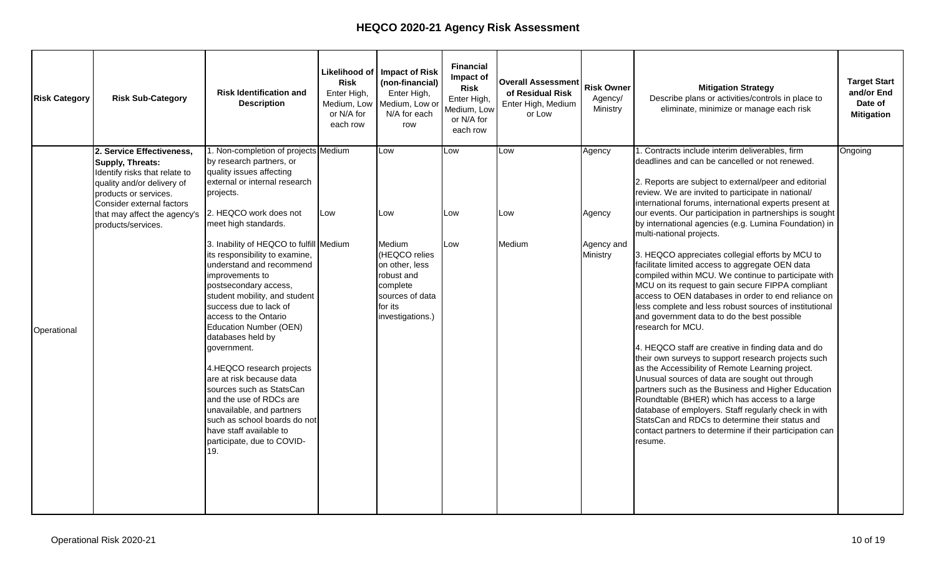#### **Data Access and Ministry Engagement**

The realities of the COVID-19 pandemic have created new challenges for HEQCO research. In recent years, HEQCO has used Statistics Canada datasets stored at Research Data Centres to develop new insights into issues of equity of access, labour market outcomes, apprenticeships and the skilled trades, and more. With opportunities to access this data limited due to the pandemic, the importance of expanding available data is critical. Of particular relevance to HEQCO's research agenda is access to data sets including the Ontario Education Number – at the system level, which has the potential of transforming our understandings of students and their experiences. HEQCO will continue to work with the provincial government to take steps towards developing this underutilized resource.

#### **Evaluations for Government**

As part of the expanded evaluation role announced in 2019, the Ministry requested that HEQCO review and make recommendations to improve and modernize the Ontario Postsecondary Access and Inclusion Program (OPAIP), Pathways to Education and disability funding. The OPAIP evaluation has been submitted to the Ministry for review and the Pathways to Education evaluation is underway. HEQCO also annually collects and reviews the annual freedom of speech on campus reports from colleges and universities and provides a summary report to the Minister of Colleges and Universities. Reports have been published for 2019 and 2020.

#### **Summary**

The research framework will serve as a top-level guide as HEQCO works with government and partners to support Ontario's high-quality postsecondary system. It provides flexibility to adapt and develop multi-year projects that are responsive and reflect innovative ideas and strategies in postsecondary education.

HEQCO's work is strengthened through relationships with postsecondary institutions, non-profit agencies and community organizations. These relationships assist HEQCO researchers with dissemination of publications, peer review of draft reports, review of research materials such as surveys, and advice regarding publicly available data. External partners may also serve as co-authors on HEQCO projects.

In recent years, HEQCO has responded to the government's focus on fiscal sustainability and accountability by shifting to more internally developed research projects as opposed to funding work by external researchers. A focus on internal projects means that HEQCO research is not only responsive to government needs, but able to adapt to what is happening across the higher education sector.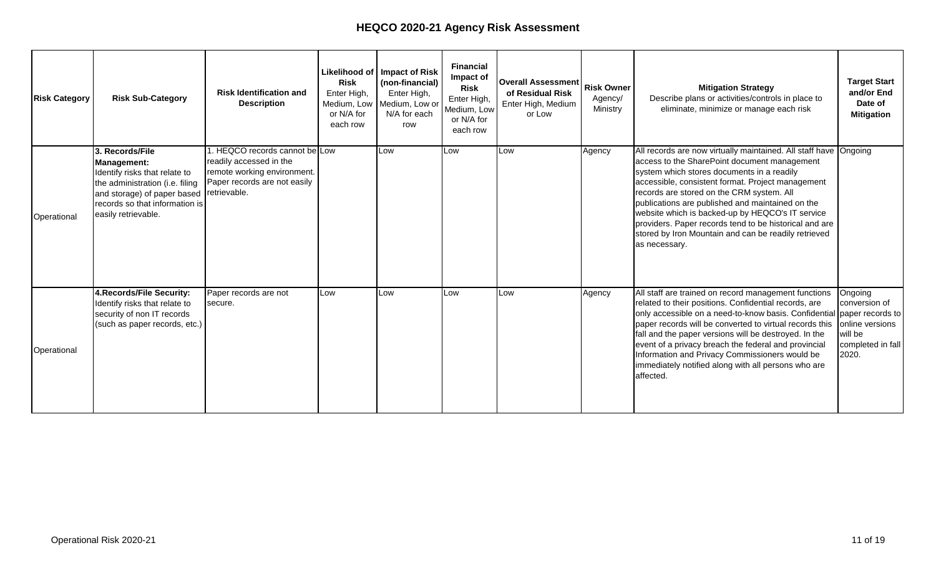# **Agency Performance Metrics**

HEQCO's performance metrics capture the impact and scope of the research agenda and the responsible, efficient use of public funds. These metrics are intended to provide transparent, outputdriven metrics that are relevant and straightforward. The use of reporting metrics on research performance is a fraught process and adjustments will be required moving forward.

#### **Research:**

Research is at the core of HEQCO's work. The metrics below offer a starting point for capturing both the research output and the activities of research staff in sharing information with stakeholders and collaborating on new projects and initiatives. Metrics for reporting research impact are challenging to develop and strict quantitative measures may not capture the scope and reach of HEQCO's work. Efforts are currently underway to develop an additional qualitative metric that can be included in future business plans.

Research output - Number of HEQCO authored publications, including research reports, government evaluations (including the freedom of speech annual review) and assessment projects, briefing notes, research summaries and opinion pieces.

Target: 12 annually based on current staffing FTE

Knowledge mobilization and sector outreach - The number of times HEQCO staff present at conferences, roundtables and seminars on HEQCO research projects, or serve as a convener for sector stakeholders. These include virtual/remote conferences or events.

Target: 10 annually based on current staffing FTE

#### **Administration:**

As a government agency HEQCO works to use public funds in a responsible and efficient way that provides value to the government and people of Ontario. The metrics included for operational performance capture the success of HEQCO in making effective use of its allocated financial resources.

Percentage of administrative overhead - Ratio of administrative overhead to budget. This includes the salaries, benefits, IT, office equipment and operations costs of non-research staff. Target: <10%

Management within budget - Deliver the mandate of HEQCO within the annual operating budget minimizing underspend. (Note: as a provincial agency HEQCO is prohibited from operating with costs beyond allocated revenues)

Target: <10% underspent

#### **Communications:**

Addressing the challenges facing higher education requires more than government policy. HEQCO's commitment to sharing its work publicly is a valuable resource to help inform the Ministry of Colleges and Universities as well as institutional leaders, faculty, students, employers and the general public to have informed discussions to help solve the difficult problems facing the sector. The metrics for assessing communications help capture not only individual report readership, but how many are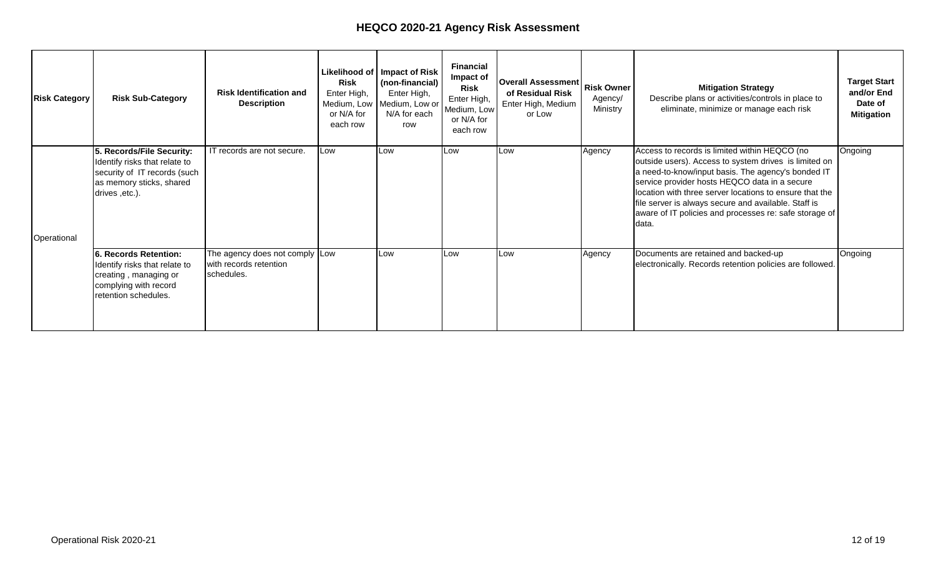interested in continuing to read HEQCO's work. These metrics reflect the knowledge mobilization goals of HEQCO's communications activities.

In 2020, HEQCO launched a new website with improved design, functionality, accessibility and an increased focus at making research products more adaptable to digital delivery. Moving forward this focus will expand to leveraging this new platform to adapt to remote realities from the COVID-19 pandemic and expand the range of ways HEQCO engages with stakeholders including potential virtual gatherings and events

Percentage of subscriber growth - The growth percentage of the collective subscribers to HEQCO's email mailing list, Twitter account, Facebook page, LinkedIn page and any future social media platforms. Readership per product growth percentage - The average pageview count of research publications, blog posts and research-specific web content based on HEQCO's website analytics. Target: >7% growth from previous year

Distribution - All research products (as defined in the research performance metrics) will be distributed to identified target audiences through accessible, bilingual products with a focus on digital formats on the HEQCO website.

Target: 18 products based on current FTE and research framework.

## **Financial Requirements**

Approximately 85% of HEQCO's \$4.1M operating budget is allocated to research, the core business of the agency. The remaining funds support council governance, executive services and administration. HEQCO is projecting an underspend of \$1.2 million in 2020/21, as a result of decisions taken in the 2019/20 budget cycle which are laid out below and as a consequence of becoming a fully remote agency in September 2020.

- In the 2019/20 budget cycle MCU reduced HEQCO's operating budget by \$900,000 or 18%.
- HEQCO immediately cancelled all external research contracts and partnerships totalling \$638,515– many of which represented multi-year financial commitments for ongoing research projects. An additional \$399,848 had been committed for 2020/21.
- This triggered an immediate decrease of four staff persons and \$168,310 in salaries, and reductions in project pipeline and research productivity.
- Leadership change at HEQCO took over 12 months to complete during which time the agency operated under interim leadership in the absence of renewal of the research and staffing plans.
- The COVID-19 pandemic led to lockdowns beginning in March 2020 and resulted in the cancellation of all in-person HEQCO conferences and workshops.
- The Treasury Board's decision for HEQCO to decommission its office space by August 30, 2020 resulted in lease-related underspending of \$130,000 in fiscal 2020/21.

A re-engagement strategy with sector stakeholders and partners began with the appointment of the new President and CEO and Vice President, Research and Policy in the second quarter of 2020. Input was sought and received on the new Strategic Research Framework and plans are underway for proof of concept as well as multi-year projects involving sector partners. This work, coupled with the expanding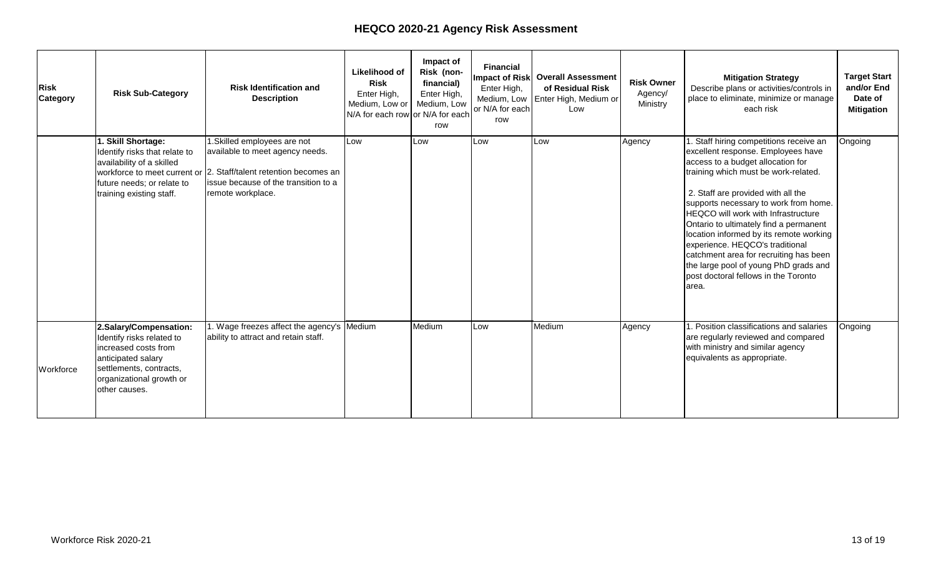mandate to undertake program evaluation work on behalf of MCU, requires the expansion of the agency's research capacity. HEQCO will look to expand beyond its current FTE count in 2021/22 cycle.

In light of the circumstances outlined above and as a consequence of the plans now in place for renewal of the agency, HEQCO requests that its current base budget be preserved for the 2021/22 cycle to allow for the full implementation of the strategic research framework, including staffing and partnership renewal. HEQCO will also require resources to fund the full commissioning of a new permanent office location in the 2021/22 cycle.

Appendix 1 provides an estimate of financial resources needed for 2021–2024.

Appendix 2 provides the Risk Assessment Reporting Tool for 2020/21 required by the Agencies and Appointments Directive and approved by HEQCO's Board of Directors.

# **Staff Retention and Development**

HEQCO makes considerable investments in the selection, training and professional development of our contract and permanent staff. Given the multi-year nature of certain projects, staff retention is critical to the continuity and quality of the research products. To support the retention and development of staff, HEQCO works within existing provincial regulations regarding compensation, augmented by best practices in equity, diversity and inclusion (EDI), talent management, including performance assessments; mentoring; professional development opportunities; media-interview and writing skills; as well as opportunities for project management and leadership skills development.

In 2020 HEQCO welcomed Janice Deakin as the new President and CEO and Julia Colyar as Vice President, Research and Policy. In conjunction with developing a new research agenda, an HR review was conducted to ensure the capacity of the agency to deliver on its mandate and ambitious research plan. HEQCO currently has 20 full-time equivalent staff and is targeting a staff complement of 25. HEQCO developed and launched work integrated learning opportunities for up to four Ontario postsecondary students and recent graduates through its internship program.

HEQCO's lease ended on August 31, 2020. Staff has been working remotely since then. While this may be a suitable arrangement at this time due to the pandemic, HEQCO needs a suitable physical location for the Agency to convene meetings, conferences and workshops and provide the opportunity for an exchange of ideas and staff collaboration. To meet the requirements of research ethics boards that govern HEQCO's activities with research partners, secure locations are required for data storage and analysis.

# **Office Space Requirements**

HEQCO and Infrastructure Ontario (IO) worked together in 2019-20 to find a suitable solution for HEQCO's accommodation. While Infrastructure Ontario found an alternate location for HEQCO the new lease was not approved by Treasury Board, and HEQCO was forced to decommission its office and liquidate its assets within less than two months.